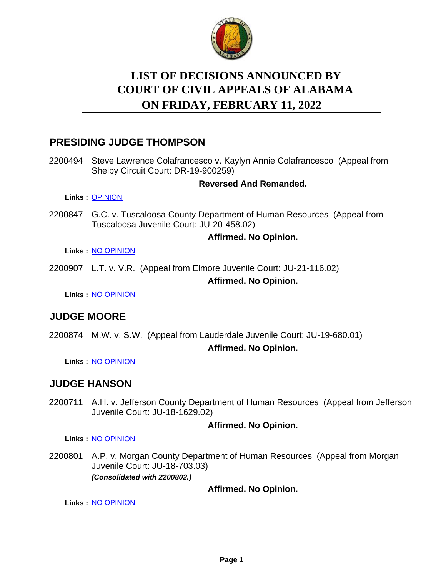

# **LIST OF DECISIONS ANNOUNCED BY ON FRIDAY, FEBRUARY 11, 2022 COURT OF CIVIL APPEALS OF ALABAMA**

## **PRESIDING JUDGE THOMPSON**

2200494 Steve Lawrence Colafrancesco v. Kaylyn Annie Colafrancesco (Appeal from Shelby Circuit Court: DR-19-900259)

### **Reversed And Remanded.**

**Links :** [OPINION](https://acis.alabama.gov/displaydocs.cfm?no=1119718&event=69G0OUGL4)

2200847 G.C. v. Tuscaloosa County Department of Human Resources (Appeal from Tuscaloosa Juvenile Court: JU-20-458.02)

### **Affirmed. No Opinion.**

**Links :** [NO OPINION](https://acis.alabama.gov/displaydocs.cfm?no=1119721&event=69G0OUGV2)

2200907 L.T. v. V.R. (Appeal from Elmore Juvenile Court: JU-21-116.02)

### **Affirmed. No Opinion.**

**Links :** [NO OPINION](https://acis.alabama.gov/displaydocs.cfm?no=1119725&event=69G0OUH77)

# **JUDGE MOORE**

2200874 M.W. v. S.W. (Appeal from Lauderdale Juvenile Court: JU-19-680.01)

**Affirmed. No Opinion.**

**Links :** [NO OPINION](https://acis.alabama.gov/displaydocs.cfm?no=1119724&event=69G0OUH41)

# **JUDGE HANSON**

2200711 A.H. v. Jefferson County Department of Human Resources (Appeal from Jefferson Juvenile Court: JU-18-1629.02)

### **Affirmed. No Opinion.**

**Links :** [NO OPINION](https://acis.alabama.gov/displaydocs.cfm?no=1119719&event=69G0OUGNQ)

2200801 A.P. v. Morgan County Department of Human Resources (Appeal from Morgan Juvenile Court: JU-18-703.03) *(Consolidated with 2200802.)*

**Affirmed. No Opinion.**

**Links :** [NO OPINION](https://acis.alabama.gov/displaydocs.cfm?no=1119720&event=69G0OUGR3)